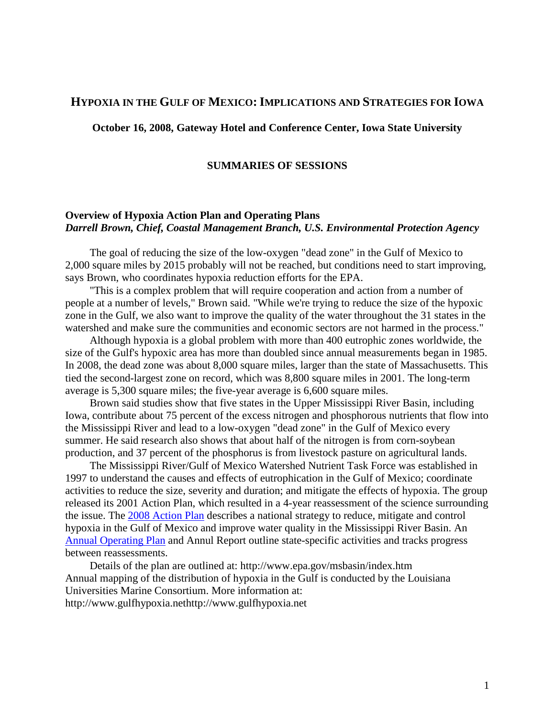# **HYPOXIA IN THE GULF OF MEXICO:IMPLICATIONS AND STRATEGIES FOR IOWA**

**October 16, 2008, Gateway Hotel and Conference Center, Iowa State University**

### **SUMMARIES OF SESSIONS**

## **Overview of Hypoxia Action Plan and Operating Plans** *Darrell Brown, Chief, Coastal Management Branch, U.S. Environmental Protection Agency*

The goal of reducing the size of the low-oxygen "dead zone" in the Gulf of Mexico to 2,000 square miles by 2015 probably will not be reached, but conditions need to start improving, says Brown, who coordinates hypoxia reduction efforts for the EPA.

"This is a complex problem that will require cooperation and action from a number of people at a number of levels," Brown said. "While we're trying to reduce the size of the hypoxic zone in the Gulf, we also want to improve the quality of the water throughout the 31 states in the watershed and make sure the communities and economic sectors are not harmed in the process."

Although hypoxia is a global problem with more than 400 eutrophic zones worldwide, the size of the Gulf's hypoxic area has more than doubled since annual measurements began in 1985. In 2008, the dead zone was about 8,000 square miles, larger than the state of Massachusetts. This tied the second-largest zone on record, which was 8,800 square miles in 2001. The long-term average is 5,300 square miles; the five-year average is 6,600 square miles.

Brown said studies show that five states in the Upper Mississippi River Basin, including Iowa, contribute about 75 percent of the excess nitrogen and phosphorous nutrients that flow into the Mississippi River and lead to a low-oxygen "dead zone" in the Gulf of Mexico every summer. He said research also shows that about half of the nitrogen is from corn-soybean production, and 37 percent of the phosphorus is from livestock pasture on agricultural lands.

The Mississippi River/Gulf of Mexico Watershed Nutrient Task Force was established in 1997 to understand the causes and effects of eutrophication in the Gulf of Mexico; coordinate activities to reduce the size, severity and duration; and mitigate the effects of hypoxia. The group released its 2001 Action Plan, which resulted in a 4-year reassessment of the science surrounding the issue. The 2008 [Action Plan](http://www.epa.gov/msbasin/actionplan.htm) describes a national strategy to reduce, mitigate and control hypoxia in the Gulf of Mexico and improve water quality in the Mississippi River Basin. An [Annual Operating](http://www.epa.gov/msbasin/actionplan.htm#FEFF006F007000650072006100740069006E0067) Plan and Annul Report outline state-specific activities and tracks progress between reassessments.

Details of the plan are outlined at: http://www.epa.gov/msbasin/index.htm Annual mapping of the distribution of hypoxia in the Gulf is conducted by the Louisiana Universities Marine Consortium. More information at: http://www.gulfhypoxia.nethttp://www.gulfhypoxia.net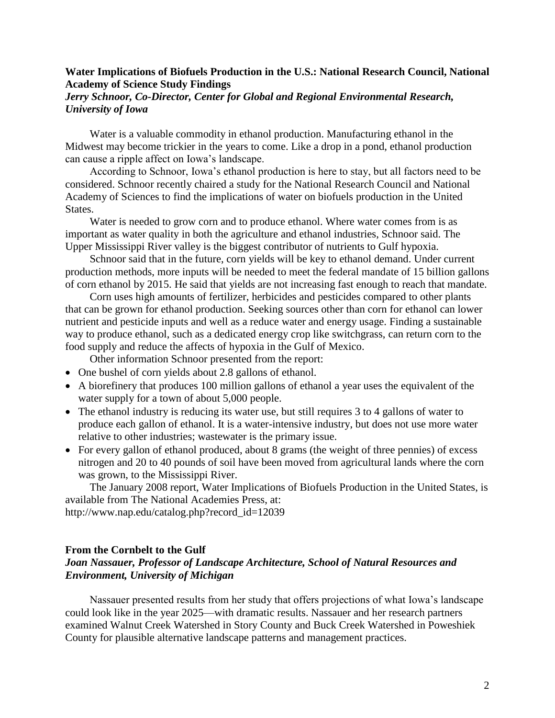## **Water Implications of Biofuels Production in the U.S.: National Research Council, National Academy of Science Study Findings**

## *Jerry Schnoor, Co-Director, Center for Global and Regional Environmental Research, University of Iowa*

Water is a valuable commodity in ethanol production. Manufacturing ethanol in the Midwest may become trickier in the years to come. Like a drop in a pond, ethanol production can cause a ripple affect on Iowa's landscape.

According to Schnoor, Iowa's ethanol production is here to stay, but all factors need to be considered. Schnoor recently chaired a study for the National Research Council and National Academy of Sciences to find the implications of water on biofuels production in the United States.

Water is needed to grow corn and to produce ethanol. Where water comes from is as important as water quality in both the agriculture and ethanol industries, Schnoor said. The Upper Mississippi River valley is the biggest contributor of nutrients to Gulf hypoxia.

Schnoor said that in the future, corn yields will be key to ethanol demand. Under current production methods, more inputs will be needed to meet the federal mandate of 15 billion gallons of corn ethanol by 2015. He said that yields are not increasing fast enough to reach that mandate.

Corn uses high amounts of fertilizer, herbicides and pesticides compared to other plants that can be grown for ethanol production. Seeking sources other than corn for ethanol can lower nutrient and pesticide inputs and well as a reduce water and energy usage. Finding a sustainable way to produce ethanol, such as a dedicated energy crop like switchgrass, can return corn to the food supply and reduce the affects of hypoxia in the Gulf of Mexico.

Other information Schnoor presented from the report:

- One bushel of corn yields about 2.8 gallons of ethanol.
- A biorefinery that produces 100 million gallons of ethanol a year uses the equivalent of the water supply for a town of about 5,000 people.
- The ethanol industry is reducing its water use, but still requires 3 to 4 gallons of water to produce each gallon of ethanol. It is a water-intensive industry, but does not use more water relative to other industries; wastewater is the primary issue.
- For every gallon of ethanol produced, about 8 grams (the weight of three pennies) of excess nitrogen and 20 to 40 pounds of soil have been moved from agricultural lands where the corn was grown, to the Mississippi River.

The January 2008 report, Water Implications of Biofuels Production in the United States, is available from The National Academies Press, at:

http://www.nap.edu/catalog.php?record\_id=12039

### **From the Cornbelt to the Gulf**

## *Joan Nassauer, Professor of Landscape Architecture, School of Natural Resources and Environment, University of Michigan*

Nassauer presented results from her study that offers projections of what Iowa's landscape could look like in the year 2025—with dramatic results. Nassauer and her research partners examined Walnut Creek Watershed in Story County and Buck Creek Watershed in Poweshiek County for plausible alternative landscape patterns and management practices.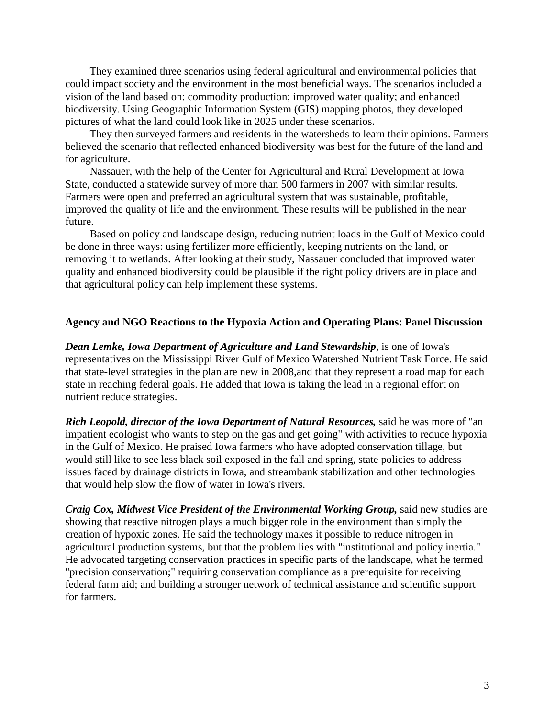They examined three scenarios using federal agricultural and environmental policies that could impact society and the environment in the most beneficial ways. The scenarios included a vision of the land based on: commodity production; improved water quality; and enhanced biodiversity. Using Geographic Information System (GIS) mapping photos, they developed pictures of what the land could look like in 2025 under these scenarios.

They then surveyed farmers and residents in the watersheds to learn their opinions. Farmers believed the scenario that reflected enhanced biodiversity was best for the future of the land and for agriculture.

Nassauer, with the help of the Center for Agricultural and Rural Development at Iowa State, conducted a statewide survey of more than 500 farmers in 2007 with similar results. Farmers were open and preferred an agricultural system that was sustainable, profitable, improved the quality of life and the environment. These results will be published in the near future.

Based on policy and landscape design, reducing nutrient loads in the Gulf of Mexico could be done in three ways: using fertilizer more efficiently, keeping nutrients on the land, or removing it to wetlands. After looking at their study, Nassauer concluded that improved water quality and enhanced biodiversity could be plausible if the right policy drivers are in place and that agricultural policy can help implement these systems.

### **Agency and NGO Reactions to the Hypoxia Action and Operating Plans: Panel Discussion**

*Dean Lemke, Iowa Department of Agriculture and Land Stewardship*, is one of Iowa's representatives on the Mississippi River Gulf of Mexico Watershed Nutrient Task Force. He said that state-level strategies in the plan are new in 2008,and that they represent a road map for each state in reaching federal goals. He added that Iowa is taking the lead in a regional effort on nutrient reduce strategies.

*Rich Leopold, director of the Iowa Department of Natural Resources,* said he was more of "an impatient ecologist who wants to step on the gas and get going" with activities to reduce hypoxia in the Gulf of Mexico. He praised Iowa farmers who have adopted conservation tillage, but would still like to see less black soil exposed in the fall and spring, state policies to address issues faced by drainage districts in Iowa, and streambank stabilization and other technologies that would help slow the flow of water in Iowa's rivers.

*Craig Cox, Midwest Vice President of the Environmental Working Group,* said new studies are showing that reactive nitrogen plays a much bigger role in the environment than simply the creation of hypoxic zones. He said the technology makes it possible to reduce nitrogen in agricultural production systems, but that the problem lies with "institutional and policy inertia." He advocated targeting conservation practices in specific parts of the landscape, what he termed "precision conservation;" requiring conservation compliance as a prerequisite for receiving federal farm aid; and building a stronger network of technical assistance and scientific support for farmers.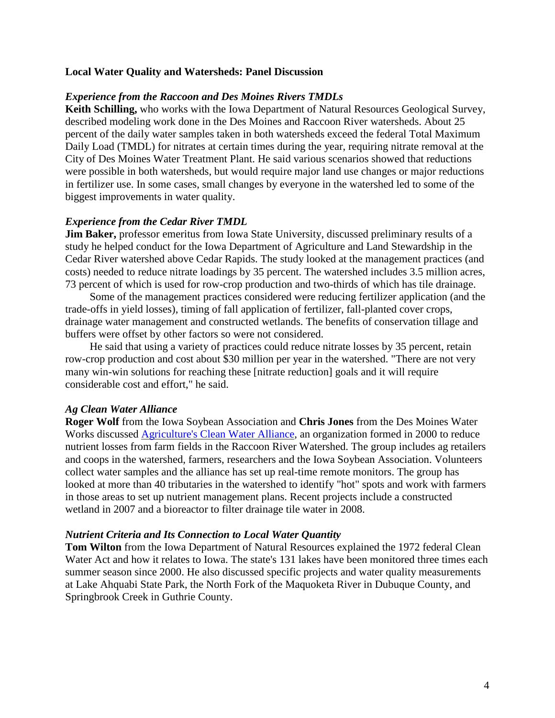## **Local Water Quality and Watersheds: Panel Discussion**

### *Experience from the Raccoon and Des Moines Rivers TMDLs*

**Keith Schilling,** who works with the Iowa Department of Natural Resources Geological Survey, described modeling work done in the Des Moines and Raccoon River watersheds. About 25 percent of the daily water samples taken in both watersheds exceed the federal Total Maximum Daily Load (TMDL) for nitrates at certain times during the year, requiring nitrate removal at the City of Des Moines Water Treatment Plant. He said various scenarios showed that reductions were possible in both watersheds, but would require major land use changes or major reductions in fertilizer use. In some cases, small changes by everyone in the watershed led to some of the biggest improvements in water quality.

### *Experience from the Cedar River TMDL*

**Jim Baker,** professor emeritus from Iowa State University, discussed preliminary results of a study he helped conduct for the Iowa Department of Agriculture and Land Stewardship in the Cedar River watershed above Cedar Rapids. The study looked at the management practices (and costs) needed to reduce nitrate loadings by 35 percent. The watershed includes 3.5 million acres, 73 percent of which is used for row-crop production and two-thirds of which has tile drainage.

Some of the management practices considered were reducing fertilizer application (and the trade-offs in yield losses), timing of fall application of fertilizer, fall-planted cover crops, drainage water management and constructed wetlands. The benefits of conservation tillage and buffers were offset by other factors so were not considered.

He said that using a variety of practices could reduce nitrate losses by 35 percent, retain row-crop production and cost about \$30 million per year in the watershed. "There are not very many win-win solutions for reaching these [nitrate reduction] goals and it will require considerable cost and effort," he said.

### *Ag Clean Water Alliance*

**Roger Wolf** from the Iowa Soybean Association and **Chris Jones** from the Des Moines Water Works discussed [Agriculture's Clean Water Alliance,](http://www.acwa-rrws.org/) an organization formed in 2000 to reduce nutrient losses from farm fields in the Raccoon River Watershed. The group includes ag retailers and coops in the watershed, farmers, researchers and the Iowa Soybean Association. Volunteers collect water samples and the alliance has set up real-time remote monitors. The group has looked at more than 40 tributaries in the watershed to identify "hot" spots and work with farmers in those areas to set up nutrient management plans. Recent projects include a constructed wetland in 2007 and a bioreactor to filter drainage tile water in 2008.

### *Nutrient Criteria and Its Connection to Local Water Quantity*

**Tom Wilton** from the Iowa Department of Natural Resources explained the 1972 federal Clean Water Act and how it relates to Iowa. The state's 131 lakes have been monitored three times each summer season since 2000. He also discussed specific projects and water quality measurements at Lake Ahquabi State Park, the North Fork of the Maquoketa River in Dubuque County, and Springbrook Creek in Guthrie County.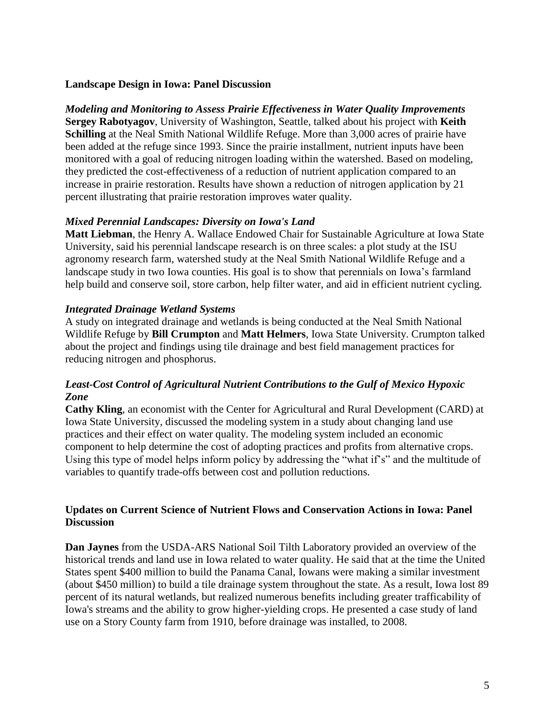## **Landscape Design in Iowa: Panel Discussion**

*Modeling and Monitoring to Assess Prairie Effectiveness in Water Quality Improvements* **Sergey Rabotyagov**, University of Washington, Seattle, talked about his project with **Keith Schilling** at the Neal Smith National Wildlife Refuge. More than 3,000 acres of prairie have been added at the refuge since 1993. Since the prairie installment, nutrient inputs have been monitored with a goal of reducing nitrogen loading within the watershed. Based on modeling, they predicted the cost-effectiveness of a reduction of nutrient application compared to an increase in prairie restoration. Results have shown a reduction of nitrogen application by 21 percent illustrating that prairie restoration improves water quality.

# *Mixed Perennial Landscapes: Diversity on Iowa's Land*

**Matt Liebman**, the Henry A. Wallace Endowed Chair for Sustainable Agriculture at Iowa State University, said his perennial landscape research is on three scales: a plot study at the ISU agronomy research farm, watershed study at the Neal Smith National Wildlife Refuge and a landscape study in two Iowa counties. His goal is to show that perennials on Iowa's farmland help build and conserve soil, store carbon, help filter water, and aid in efficient nutrient cycling.

# *Integrated Drainage Wetland Systems*

A study on integrated drainage and wetlands is being conducted at the Neal Smith National Wildlife Refuge by **Bill Crumpton** and **Matt Helmers**, Iowa State University. Crumpton talked about the project and findings using tile drainage and best field management practices for reducing nitrogen and phosphorus.

# *Least-Cost Control of Agricultural Nutrient Contributions to the Gulf of Mexico Hypoxic Zone*

**Cathy Kling**, an economist with the Center for Agricultural and Rural Development (CARD) at Iowa State University, discussed the modeling system in a study about changing land use practices and their effect on water quality. The modeling system included an economic component to help determine the cost of adopting practices and profits from alternative crops. Using this type of model helps inform policy by addressing the "what if's" and the multitude of variables to quantify trade-offs between cost and pollution reductions.

# **Updates on Current Science of Nutrient Flows and Conservation Actions in Iowa: Panel Discussion**

**Dan Jaynes** from the USDA-ARS National Soil Tilth Laboratory provided an overview of the historical trends and land use in Iowa related to water quality. He said that at the time the United States spent \$400 million to build the Panama Canal, Iowans were making a similar investment (about \$450 million) to build a tile drainage system throughout the state. As a result, Iowa lost 89 percent of its natural wetlands, but realized numerous benefits including greater trafficability of Iowa's streams and the ability to grow higher-yielding crops. He presented a case study of land use on a Story County farm from 1910, before drainage was installed, to 2008.